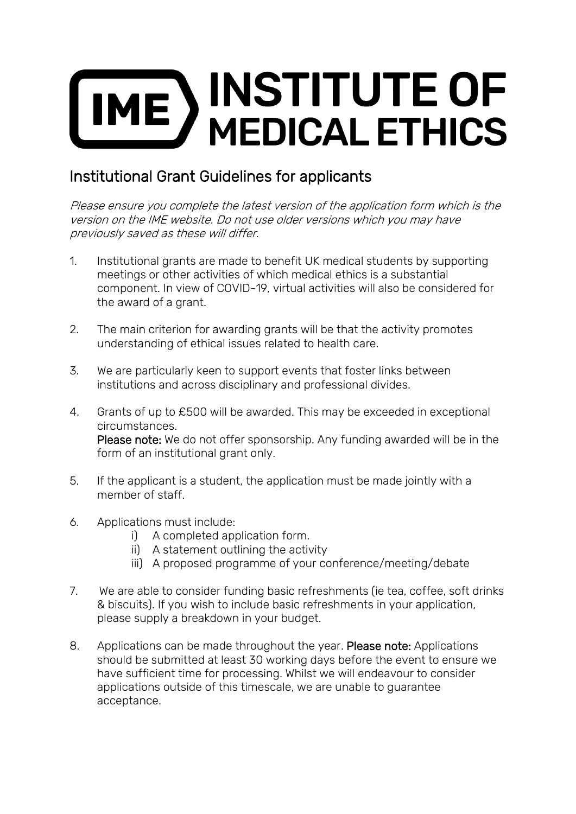## **INSTITUTE OF**  $ME$  ) **MEDICAL ETHICS**

## Institutional Grant Guidelines for applicants

Please ensure you complete the latest version of the application form which is the version on the IME website. Do not use older versions which you may have previously saved as these will differ.

- 1. Institutional grants are made to benefit UK medical students by supporting meetings or other activities of which medical ethics is a substantial component. In view of COVID-19, virtual activities will also be considered for the award of a grant.
- 2. The main criterion for awarding grants will be that the activity promotes understanding of ethical issues related to health care.
- 3. We are particularly keen to support events that foster links between institutions and across disciplinary and professional divides.
- 4. Grants of up to £500 will be awarded. This may be exceeded in exceptional circumstances. Please note: We do not offer sponsorship. Any funding awarded will be in the form of an institutional grant only.
- 5. If the applicant is a student, the application must be made jointly with a member of staff.
- 6. Applications must include:
	- i) A completed application form.
	- ii) A statement outlining the activity
	- iii) A proposed programme of your conference/meeting/debate
- 7. We are able to consider funding basic refreshments (ie tea, coffee, soft drinks & biscuits). If you wish to include basic refreshments in your application, please supply a breakdown in your budget.
- 8. Applications can be made throughout the year. Please note: Applications should be submitted at least 30 working days before the event to ensure we have sufficient time for processing. Whilst we will endeavour to consider applications outside of this timescale, we are unable to guarantee acceptance.